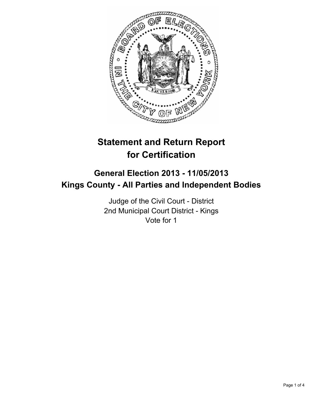

# **Statement and Return Report for Certification**

## **General Election 2013 - 11/05/2013 Kings County - All Parties and Independent Bodies**

Judge of the Civil Court - District 2nd Municipal Court District - Kings Vote for 1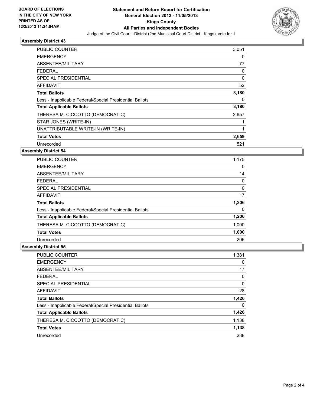

#### **Assembly District 43**

| PUBLIC COUNTER                                           | 3,051 |
|----------------------------------------------------------|-------|
| <b>EMERGENCY</b>                                         | 0     |
| ABSENTEE/MILITARY                                        | 77    |
| <b>FEDERAL</b>                                           | 0     |
| SPECIAL PRESIDENTIAL                                     | 0     |
| <b>AFFIDAVIT</b>                                         | 52    |
| <b>Total Ballots</b>                                     | 3,180 |
| Less - Inapplicable Federal/Special Presidential Ballots | 0     |
| <b>Total Applicable Ballots</b>                          | 3,180 |
| THERESA M. CICCOTTO (DEMOCRATIC)                         | 2,657 |
| STAR JONES (WRITE-IN)                                    | 1     |
| UNATTRIBUTABLE WRITE-IN (WRITE-IN)                       | 1     |
| <b>Total Votes</b>                                       | 2,659 |
| Unrecorded                                               | 521   |

#### **Assembly District 54**

| <b>PUBLIC COUNTER</b>                                    | 1,175    |
|----------------------------------------------------------|----------|
| <b>EMERGENCY</b>                                         | 0        |
| ABSENTEE/MILITARY                                        | 14       |
| <b>FEDERAL</b>                                           | 0        |
| SPECIAL PRESIDENTIAL                                     | 0        |
| <b>AFFIDAVIT</b>                                         | 17       |
| <b>Total Ballots</b>                                     | 1,206    |
| Less - Inapplicable Federal/Special Presidential Ballots | $\Omega$ |
| <b>Total Applicable Ballots</b>                          | 1,206    |
| THERESA M. CICCOTTO (DEMOCRATIC)                         | 1,000    |
| <b>Total Votes</b>                                       | 1,000    |
| Unrecorded                                               | 206      |

#### **Assembly District 55**

| PUBLIC COUNTER                                           | 1,381 |
|----------------------------------------------------------|-------|
| <b>EMERGENCY</b>                                         | 0     |
| ABSENTEE/MILITARY                                        | 17    |
| FEDERAL                                                  | 0     |
| SPECIAL PRESIDENTIAL                                     | 0     |
| <b>AFFIDAVIT</b>                                         | 28    |
|                                                          |       |
| <b>Total Ballots</b>                                     | 1,426 |
| Less - Inapplicable Federal/Special Presidential Ballots | 0     |
| <b>Total Applicable Ballots</b>                          | 1,426 |
| THERESA M. CICCOTTO (DEMOCRATIC)                         | 1,138 |
| <b>Total Votes</b>                                       | 1,138 |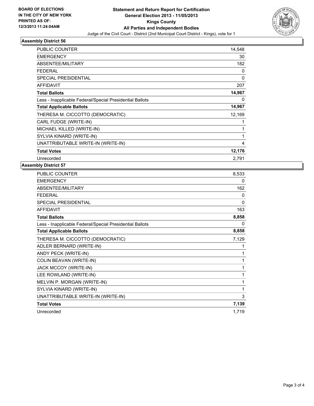

### **Assembly District 56**

| <b>PUBLIC COUNTER</b>                                    | 14,548       |
|----------------------------------------------------------|--------------|
| <b>EMERGENCY</b>                                         | 30           |
| ABSENTEE/MILITARY                                        | 182          |
| <b>FEDERAL</b>                                           | 0            |
| <b>SPECIAL PRESIDENTIAL</b>                              | $\mathbf{0}$ |
| <b>AFFIDAVIT</b>                                         | 207          |
| <b>Total Ballots</b>                                     | 14,967       |
| Less - Inapplicable Federal/Special Presidential Ballots | 0            |
| <b>Total Applicable Ballots</b>                          | 14,967       |
| THERESA M. CICCOTTO (DEMOCRATIC)                         | 12,169       |
| CARL FUDGE (WRITE-IN)                                    | 1            |
| MICHAEL KILLED (WRITE-IN)                                | 1            |
| SYLVIA KINARD (WRITE-IN)                                 | 1            |
| UNATTRIBUTABLE WRITE-IN (WRITE-IN)                       | 4            |
| <b>Total Votes</b>                                       | 12,176       |
| Unrecorded                                               | 2,791        |

#### **Assembly District 57**

| PUBLIC COUNTER                                           | 8,533        |
|----------------------------------------------------------|--------------|
| <b>EMERGENCY</b>                                         | 0            |
| ABSENTEE/MILITARY                                        | 162          |
| <b>FEDERAL</b>                                           | 0            |
| <b>SPECIAL PRESIDENTIAL</b>                              | $\mathbf{0}$ |
| <b>AFFIDAVIT</b>                                         | 163          |
| <b>Total Ballots</b>                                     | 8,858        |
| Less - Inapplicable Federal/Special Presidential Ballots | 0            |
| <b>Total Applicable Ballots</b>                          | 8,858        |
| THERESA M. CICCOTTO (DEMOCRATIC)                         | 7,129        |
| ADLER BERNARD (WRITE-IN)                                 | 1            |
| ANDY PECK (WRITE-IN)                                     | 1            |
| COLIN BEAVAN (WRITE-IN)                                  | 1            |
| JACK MCCOY (WRITE-IN)                                    | 1            |
| LEE ROWLAND (WRITE-IN)                                   | 1            |
| MELVIN P. MORGAN (WRITE-IN)                              | 1            |
| SYLVIA KINARD (WRITE-IN)                                 | 1            |
| UNATTRIBUTABLE WRITE-IN (WRITE-IN)                       | 3            |
| <b>Total Votes</b>                                       | 7,139        |
| Unrecorded                                               | 1,719        |